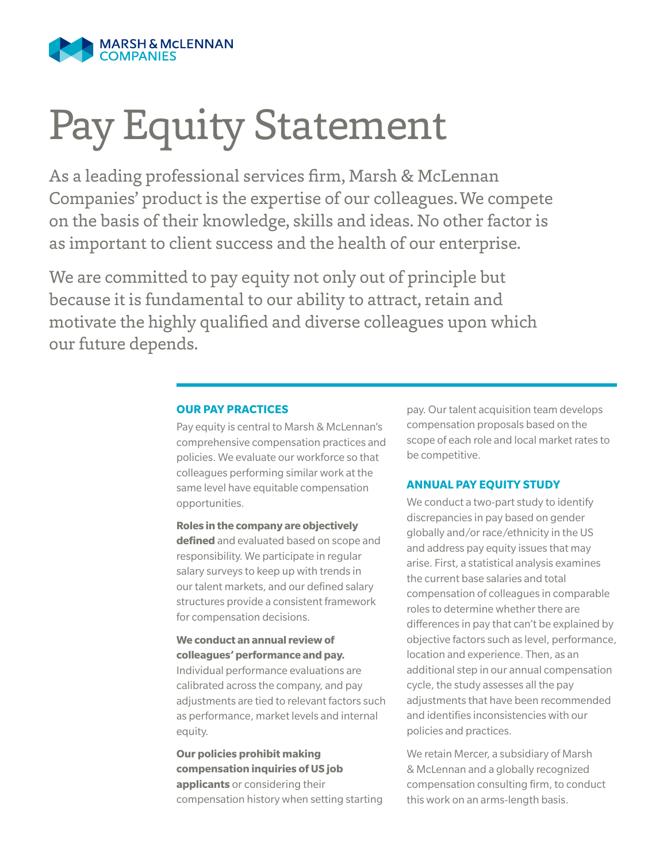

# Pay Equity Statement

As a leading professional services firm, Marsh & McLennan Companies' product is the expertise of our colleagues. We compete on the basis of their knowledge, skills and ideas. No other factor is as important to client success and the health of our enterprise.

We are committed to pay equity not only out of principle but because it is fundamental to our ability to attract, retain and motivate the highly qualified and diverse colleagues upon which our future depends.

## **OUR PAY PRACTICES**

Pay equity is central to Marsh & McLennan's comprehensive compensation practices and policies. We evaluate our workforce so that colleagues performing similar work at the same level have equitable compensation opportunities.

**Roles in the company are objectively defined** and evaluated based on scope and responsibility. We participate in regular salary surveys to keep up with trends in our talent markets, and our defined salary structures provide a consistent framework for compensation decisions.

## **We conduct an annual review of colleagues' performance and pay.**

Individual performance evaluations are calibrated across the company, and pay adjustments are tied to relevant factors such as performance, market levels and internal equity.

**Our policies prohibit making compensation inquiries of US job applicants** or considering their compensation history when setting starting pay. Our talent acquisition team develops compensation proposals based on the scope of each role and local market rates to be competitive.

#### **ANNUAL PAY EQUITY STUDY**

We conduct a two-part study to identify discrepancies in pay based on gender globally and/or race/ethnicity in the US and address pay equity issues that may arise. First, a statistical analysis examines the current base salaries and total compensation of colleagues in comparable roles to determine whether there are differences in pay that can't be explained by objective factors such as level, performance, location and experience. Then, as an additional step in our annual compensation cycle, the study assesses all the pay adjustments that have been recommended and identifies inconsistencies with our policies and practices.

We retain Mercer, a subsidiary of Marsh & McLennan and a globally recognized compensation consulting firm, to conduct this work on an arms-length basis.